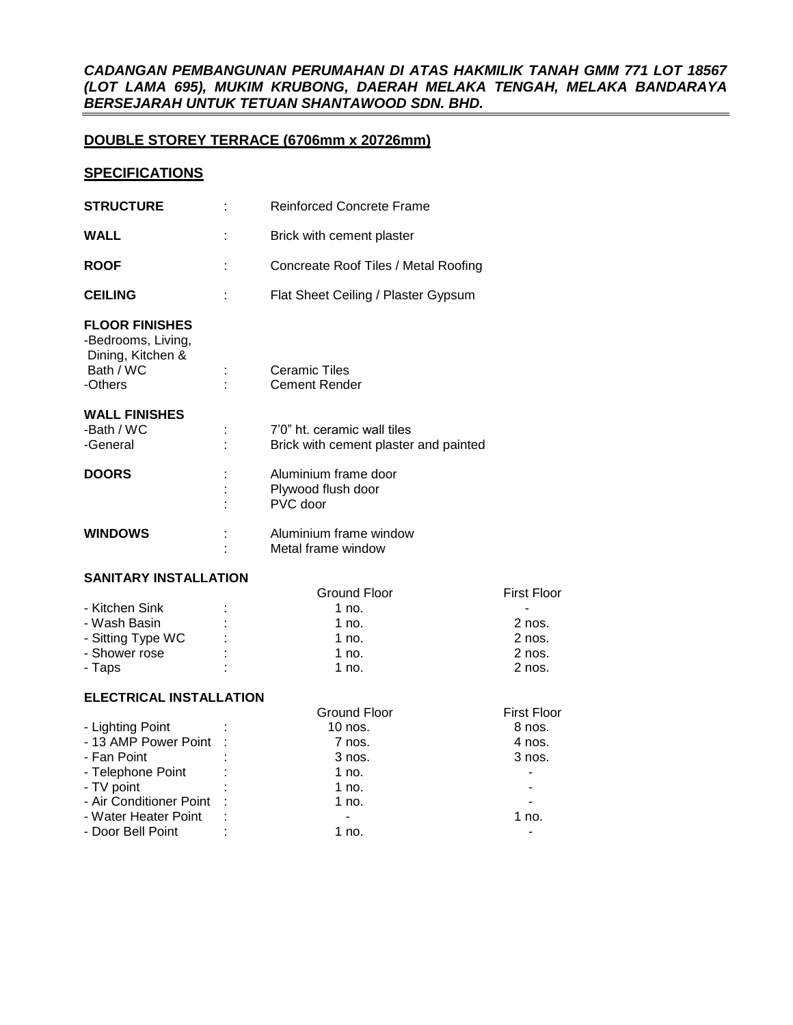## *CADANGAN PEMBANGUNAN PERUMAHAN DI ATAS HAKMILIK TANAH GMM 771 LOT 18567 (LOT LAMA 695), MUKIM KRUBONG, DAERAH MELAKA TENGAH, MELAKA BANDARAYA BERSEJARAH UNTUK TETUAN SHANTAWOOD SDN. BHD.*

# **DOUBLE STOREY TERRACE (6706mm x 20726mm)**

## **SPECIFICATIONS**

| <b>WALL</b><br>Brick with cement plaster                                                                                                                   |                                                              |
|------------------------------------------------------------------------------------------------------------------------------------------------------------|--------------------------------------------------------------|
| <b>ROOF</b><br>Concreate Roof Tiles / Metal Roofing                                                                                                        |                                                              |
| <b>CEILING</b><br>Flat Sheet Ceiling / Plaster Gypsum                                                                                                      |                                                              |
| <b>FLOOR FINISHES</b><br>-Bedrooms, Living,<br>Dining, Kitchen &<br>Bath / WC<br><b>Ceramic Tiles</b><br><b>Cement Render</b><br>-Others                   |                                                              |
| <b>WALL FINISHES</b><br>-Bath / WC<br>7'0" ht. ceramic wall tiles<br>-General<br>Brick with cement plaster and painted                                     |                                                              |
| <b>DOORS</b><br>Aluminium frame door<br>Plywood flush door<br>PVC door                                                                                     |                                                              |
| <b>WINDOWS</b><br>Aluminium frame window<br>Metal frame window                                                                                             |                                                              |
| <b>SANITARY INSTALLATION</b>                                                                                                                               |                                                              |
| <b>Ground Floor</b><br>- Kitchen Sink<br>$1$ no.<br>- Wash Basin<br>1 no.<br>- Sitting Type WC<br>$1$ no.<br>- Shower rose<br>1 $no.$<br>- Taps<br>$1$ no. | <b>First Floor</b><br>2 nos.<br>$2$ nos.<br>2 nos.<br>2 nos. |

#### **ELECTRICAL INSTALLATION**

| LLLVIINVAL INVIALLATIVN   |                |                     |                    |  |  |  |
|---------------------------|----------------|---------------------|--------------------|--|--|--|
|                           |                | <b>Ground Floor</b> | <b>First Floor</b> |  |  |  |
| - Lighting Point          |                | $10$ nos.           | 8 nos.             |  |  |  |
| - 13 AMP Power Point :    |                | 7 nos.              | 4 nos.             |  |  |  |
| - Fan Point               |                | 3 nos.              | $3$ nos.           |  |  |  |
| - Telephone Point         |                | 1 no.               |                    |  |  |  |
| - TV point                |                | 1 no.               |                    |  |  |  |
| - Air Conditioner Point : |                | 1 no.               |                    |  |  |  |
| - Water Heater Point      | $\mathbb{R}^2$ |                     | 1 no.              |  |  |  |
| - Door Bell Point         |                | 1 no.               |                    |  |  |  |
|                           |                |                     |                    |  |  |  |